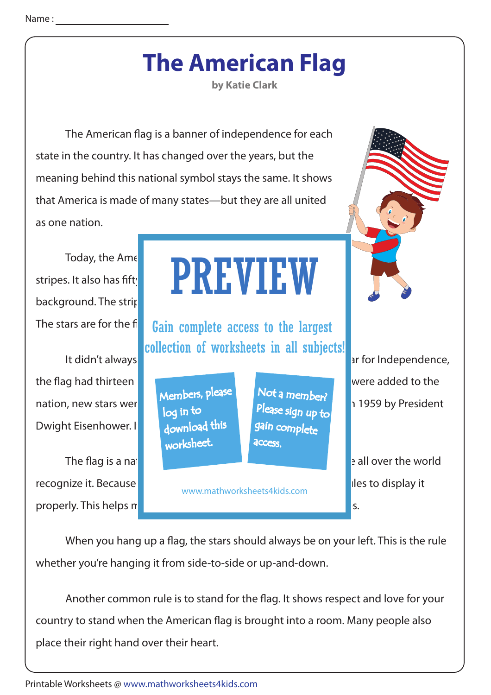## **The American Flag**

**by Katie Clark**

The American flag is a banner of independence for each state in the country. It has changed over the years, but the meaning behind this national symbol stays the same. It shows that America is made of many states—but they are all united as one nation.

background. The strin

Dwight Eisenhower. It

recognize it. Because it is so important for the country, the country, the country, the country, there are rules to display it properly. This helps make sure it always gets the respect it always gets the respect it always gets the respect it of  $\sim$ 

The stars are for the fing Gain complete access to the largest collection of worksheets in all subjects!

www.mathworksheets4kids.com

The flag is a national symbol and represents America. People all over the world

When you hang up a flag, the stars should always be on your left. This is the rule whether you're hanging it from side-to-side or up-and-down.

Another common rule is to stand for the flag. It shows respect and love for your country to stand when the American flag is brought into a room. Many people also place their right hand over their heart.

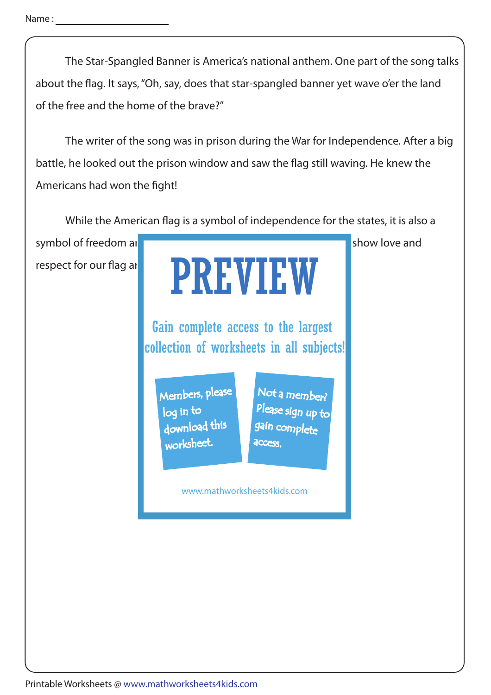Name :

 The Star-Spangled Banner is America's national anthem. One part of the song talks about the flag. It says, "Oh, say, does that star-spangled banner yet wave o'er the land of the free and the home of the brave?"

 The writer of the song was in prison during the War for Independence. After a big battle, he looked out the prison window and saw the flag still waving. He knew the Americans had won the fight!

While the American flag is a symbol of independence for the states, it is also a

respect for our flag ar



Gain complete access to the largest collection of worksheets in all subjects!

Members, please download this worksheet. log in to

Not a member? gain complete Please sign up to **access** 

www.mathworksheets4kids.com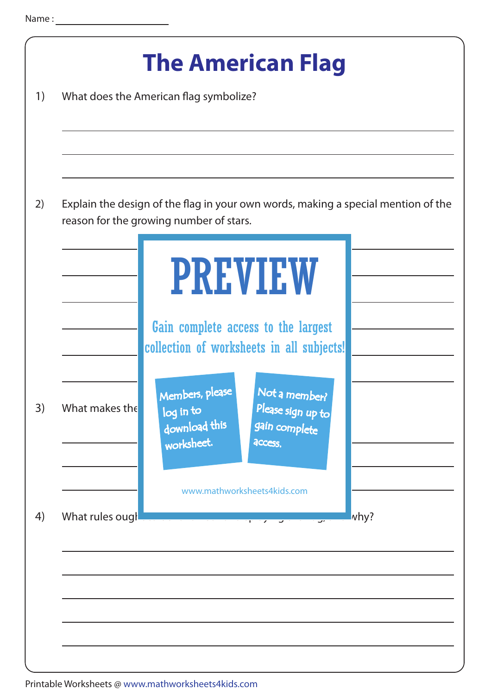| 1) |                  | <b>The American Flag</b><br>What does the American flag symbolize?                                                                                                         |  |
|----|------------------|----------------------------------------------------------------------------------------------------------------------------------------------------------------------------|--|
| 2) |                  | Explain the design of the flag in your own words, making a special mention of the<br>reason for the growing number of stars.                                               |  |
|    |                  | <b>PREVIEW</b><br>Gain complete access to the largest                                                                                                                      |  |
| 3) | What makes the   | collection of worksheets in all subjects!<br>Not a member?<br>Members, please<br>Please sign up to<br>log in to<br>download this<br>gain complete<br>worksheet.<br>access. |  |
| 4) | What rules ough. | www.mathworksheets4kids.com<br>why?<br><u> 1989 - Jan Barnett, p</u>                                                                                                       |  |
|    |                  |                                                                                                                                                                            |  |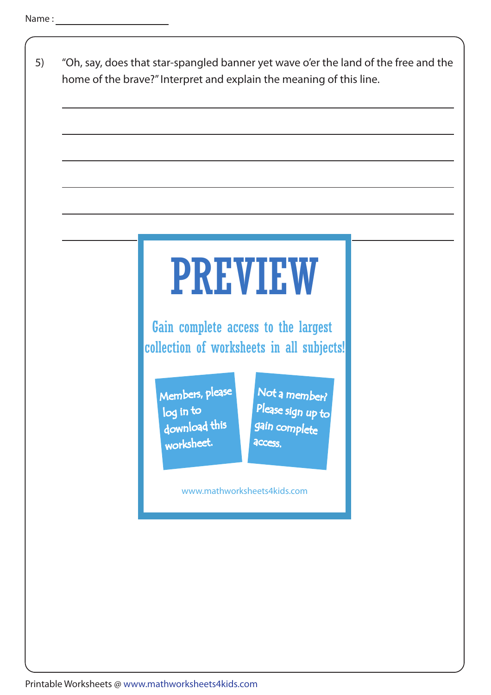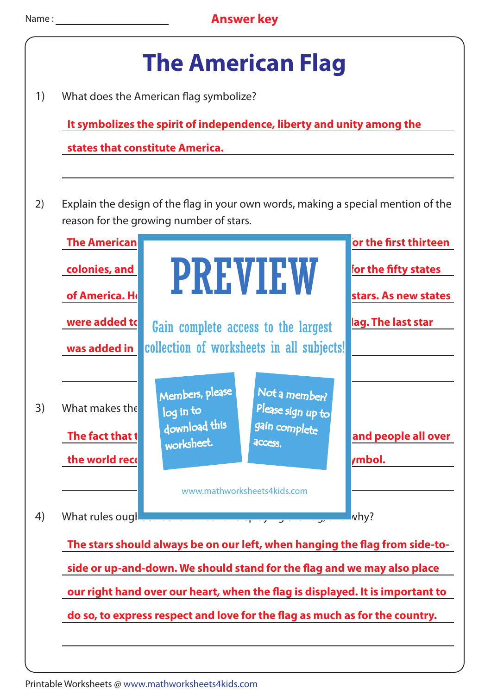